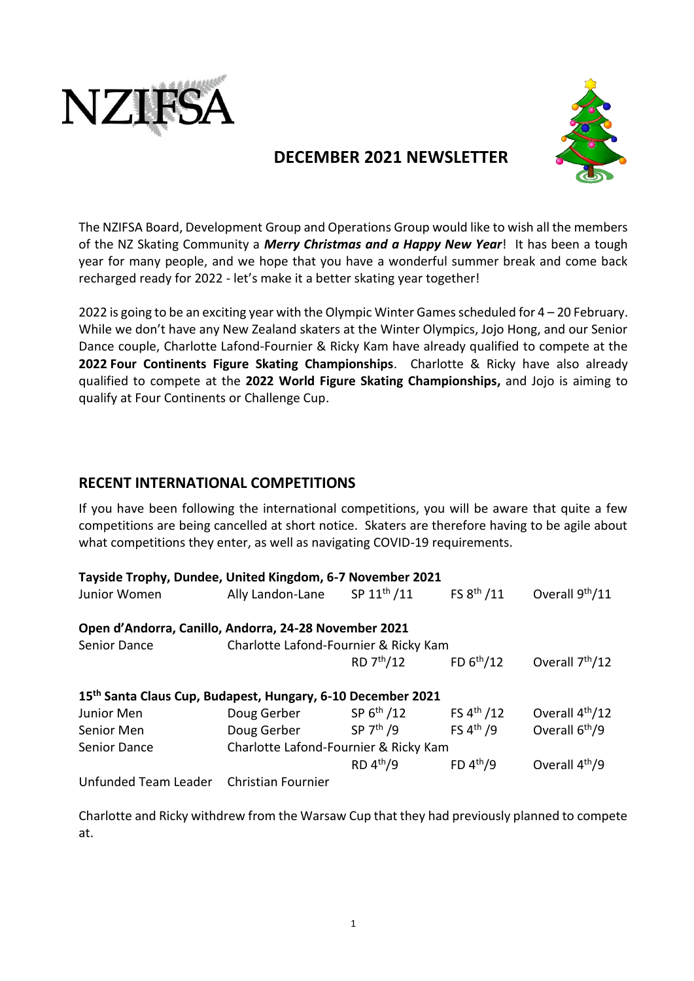



# **DECEMBER 2021 NEWSLETTER**

The NZIFSA Board, Development Group and Operations Group would like to wish all the members of the NZ Skating Community a *Merry Christmas and a Happy New Year*! It has been a tough year for many people, and we hope that you have a wonderful summer break and come back recharged ready for 2022 - let's make it a better skating year together!

2022 is going to be an exciting year with the Olympic Winter Games scheduled for  $4 - 20$  February. While we don't have any New Zealand skaters at the Winter Olympics, Jojo Hong, and our Senior Dance couple, Charlotte Lafond-Fournier & Ricky Kam have already qualified to compete at the **2022 [Four Continents Figure Skating Championships](https://en.wikipedia.org/wiki/Four_Continents_Figure_Skating_Championships)**. Charlotte & Ricky have also already qualified to compete at the **2022 World Figure Skating Championships,** and Jojo is aiming to qualify at Four Continents or Challenge Cup.

## **RECENT INTERNATIONAL COMPETITIONS**

If you have been following the international competitions, you will be aware that quite a few competitions are being cancelled at short notice. Skaters are therefore having to be agile about what competitions they enter, as well as navigating COVID-19 requirements.

| Tayside Trophy, Dundee, United Kingdom, 6-7 November 2021   |                                       |                         |                        |                             |  |  |
|-------------------------------------------------------------|---------------------------------------|-------------------------|------------------------|-----------------------------|--|--|
| Junior Women                                                | Ally Landon-Lane                      | SP 11 <sup>th</sup> /11 | FS 8 <sup>th</sup> /11 | Overall 9 <sup>th</sup> /11 |  |  |
| Open d'Andorra, Canillo, Andorra, 24-28 November 2021       |                                       |                         |                        |                             |  |  |
| Senior Dance                                                | Charlotte Lafond-Fournier & Ricky Kam |                         |                        |                             |  |  |
|                                                             |                                       | RD 7 <sup>th</sup> /12  | FD $6^{th}/12$         | Overall 7 <sup>th</sup> /12 |  |  |
| 15th Santa Claus Cup, Budapest, Hungary, 6-10 December 2021 |                                       |                         |                        |                             |  |  |
| Junior Men                                                  | Doug Gerber                           | SP 6 <sup>th</sup> / 12 | FS $4^{th}$ /12        | Overall 4 <sup>th</sup> /12 |  |  |
| Senior Men                                                  | Doug Gerber                           | SP 7 <sup>th</sup> /9   | FS $4th$ /9            | Overall 6 <sup>th</sup> /9  |  |  |
| <b>Senior Dance</b>                                         | Charlotte Lafond-Fournier & Ricky Kam |                         |                        |                             |  |  |
|                                                             |                                       | $RD$ 4 <sup>th</sup> /9 | FD $4th/9$             | Overall 4 <sup>th</sup> /9  |  |  |
| Unfunded Team Leader                                        | <b>Christian Fournier</b>             |                         |                        |                             |  |  |

Charlotte and Ricky withdrew from the Warsaw Cup that they had previously planned to compete at.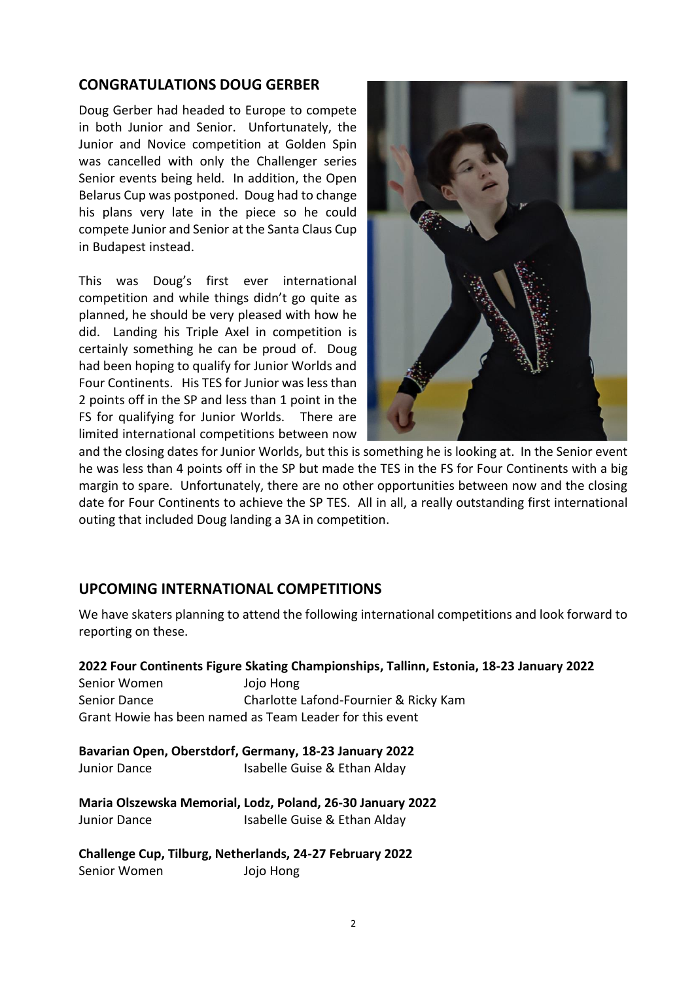# **CONGRATULATIONS DOUG GERBER**

Doug Gerber had headed to Europe to compete in both Junior and Senior. Unfortunately, the Junior and Novice competition at Golden Spin was cancelled with only the Challenger series Senior events being held. In addition, the Open Belarus Cup was postponed. Doug had to change his plans very late in the piece so he could compete Junior and Senior at the Santa Claus Cup in Budapest instead.

This was Doug's first ever international competition and while things didn't go quite as planned, he should be very pleased with how he did. Landing his Triple Axel in competition is certainly something he can be proud of. Doug had been hoping to qualify for Junior Worlds and Four Continents. His TES for Junior was less than 2 points off in the SP and less than 1 point in the FS for qualifying for Junior Worlds. There are limited international competitions between now



and the closing dates for Junior Worlds, but this is something he is looking at. In the Senior event he was less than 4 points off in the SP but made the TES in the FS for Four Continents with a big margin to spare. Unfortunately, there are no other opportunities between now and the closing date for Four Continents to achieve the SP TES. All in all, a really outstanding first international outing that included Doug landing a 3A in competition.

# **UPCOMING INTERNATIONAL COMPETITIONS**

We have skaters planning to attend the following international competitions and look forward to reporting on these.

#### **2022 [Four Continents Figure Skating Championships,](https://en.wikipedia.org/wiki/Four_Continents_Figure_Skating_Championships) Tallinn, Estonia, 18-23 January 2022**

Senior Women Jojo Hong Senior Dance Charlotte Lafond-Fournier & Ricky Kam Grant Howie has been named as Team Leader for this event

**Bavarian Open, Oberstdorf, Germany, 18-23 January 2022** Junior Dance Isabelle Guise & Ethan Alday

**Maria Olszewska Memorial, Lodz, Poland, 26-30 January 2022** Junior Dance Isabelle Guise & Ethan Alday

**Challenge Cup, Tilburg, Netherlands, 24-27 February 2022** Senior Women Jojo Hong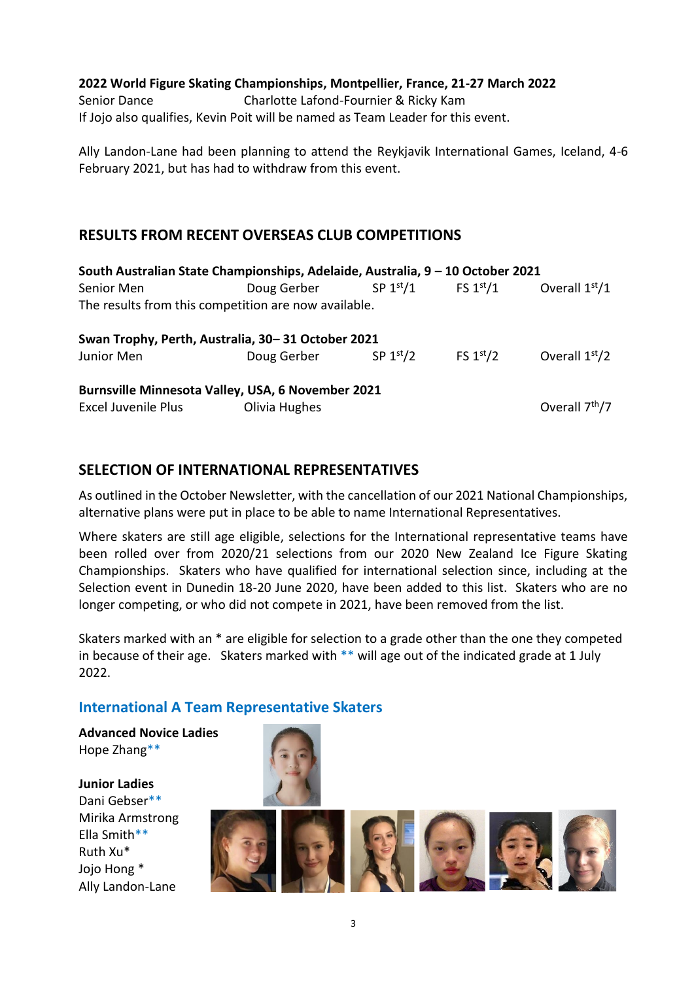#### **2022 World Figure Skating Championships, Montpellier, France, 21-27 March 2022**

Senior Dance Charlotte Lafond-Fournier & Ricky Kam If Jojo also qualifies, Kevin Poit will be named as Team Leader for this event.

Ally Landon-Lane had been planning to attend the Reykjavik International Games, Iceland, 4-6 February 2021, but has had to withdraw from this event.

# **RESULTS FROM RECENT OVERSEAS CLUB COMPETITIONS**

| South Australian State Championships, Adelaide, Australia, 9 - 10 October 2021 |                        |            |                      |                            |  |  |
|--------------------------------------------------------------------------------|------------------------|------------|----------------------|----------------------------|--|--|
| Senior Men                                                                     | Doug Gerber SP $1st/1$ |            | FS $1^\mathrm{st}/1$ | Overall $1st/1$            |  |  |
| The results from this competition are now available.                           |                        |            |                      |                            |  |  |
| Swan Trophy, Perth, Australia, 30-31 October 2021                              |                        |            |                      |                            |  |  |
| Junior Men                                                                     | Doug Gerber            | SP $1st/2$ | FS $1st/2$           | Overall $1st/2$            |  |  |
| Burnsville Minnesota Valley, USA, 6 November 2021                              |                        |            |                      |                            |  |  |
| <b>Excel Juvenile Plus</b>                                                     | Olivia Hughes          |            |                      | Overall 7 <sup>th</sup> /7 |  |  |

# **SELECTION OF INTERNATIONAL REPRESENTATIVES**

As outlined in the October Newsletter, with the cancellation of our 2021 National Championships, alternative plans were put in place to be able to name International Representatives.

Where skaters are still age eligible, selections for the International representative teams have been rolled over from 2020/21 selections from our 2020 New Zealand Ice Figure Skating Championships. Skaters who have qualified for international selection since, including at the Selection event in Dunedin 18-20 June 2020, have been added to this list. Skaters who are no longer competing, or who did not compete in 2021, have been removed from the list.

Skaters marked with an \* are eligible for selection to a grade other than the one they competed in because of their age. Skaters marked with \*\* will age out of the indicated grade at 1 July 2022.

# **International A Team Representative Skaters**

**Advanced Novice Ladies** Hope Zhang\*\*

**Junior Ladies** Dani Gebser\*\* Mirika Armstrong Ella Smith\*\* Ruth Xu\* Jojo Hong \* Ally Landon-Lane



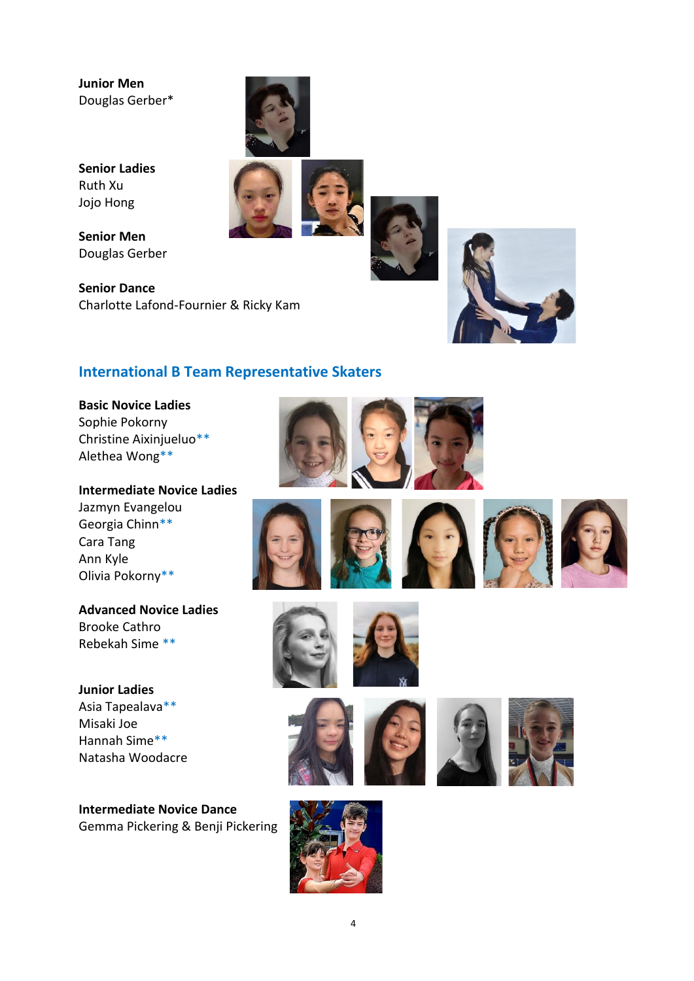**Junior Men** Douglas Gerber\*



**Senior Ladies** Ruth Xu Jojo Hong

**Senior Men** Douglas Gerber

**Senior Dance** Charlotte Lafond-Fournier & Ricky Kam





# **International B Team Representative Skaters**

**Basic Novice Ladies**  Sophie Pokorny Christine Aixinjueluo\*\* Alethea Wong\*\*

**Intermediate Novice Ladies** Jazmyn Evangelou Georgia Chinn\*\* Cara Tang Ann Kyle Olivia Pokorny\*\*

**Advanced Novice Ladies** Brooke Cathro Rebekah Sime \*\*

**Junior Ladies** Asia Tapealava\*\* Misaki Joe Hannah Sime\*\* Natasha Woodacre

**Intermediate Novice Dance** Gemma Pickering & Benji Pickering



















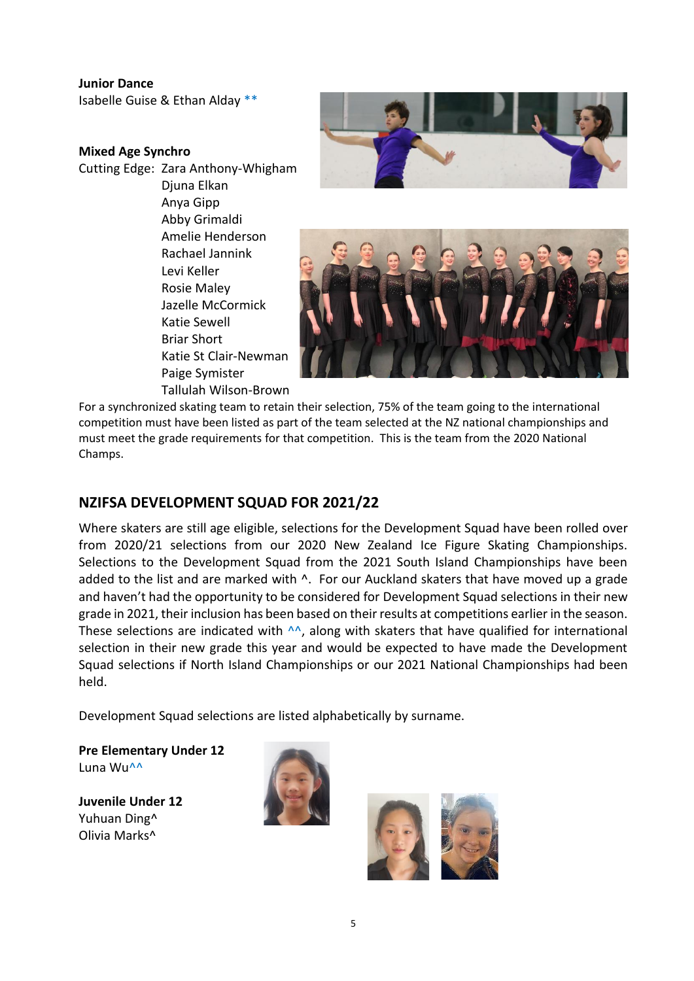#### **Junior Dance**

Isabelle Guise & Ethan Alday \*\*

#### **Mixed Age Synchro**

Cutting Edge: Zara Anthony-Whigham Djuna Elkan Anya Gipp Abby Grimaldi Amelie Henderson Rachael Jannink Levi Keller Rosie Maley Jazelle McCormick Katie Sewell Briar Short Katie St Clair-Newman Paige Symister Tallulah Wilson-Brown





For a synchronized skating team to retain their selection, 75% of the team going to the international competition must have been listed as part of the team selected at the NZ national championships and must meet the grade requirements for that competition. This is the team from the 2020 National Champs.

# **NZIFSA DEVELOPMENT SQUAD FOR 2021/22**

Where skaters are still age eligible, selections for the Development Squad have been rolled over from 2020/21 selections from our 2020 New Zealand Ice Figure Skating Championships. Selections to the Development Squad from the 2021 South Island Championships have been added to the list and are marked with  $\wedge$ . For our Auckland skaters that have moved up a grade and haven't had the opportunity to be considered for Development Squad selections in their new grade in 2021, their inclusion has been based on their results at competitions earlier in the season. These selections are indicated with  $\wedge\wedge$ , along with skaters that have qualified for international selection in their new grade this year and would be expected to have made the Development Squad selections if North Island Championships or our 2021 National Championships had been held.

Development Squad selections are listed alphabetically by surname.

**Pre Elementary Under 12** Luna Wu^^

**Juvenile Under 12** Yuhuan Ding^ Olivia Marks^



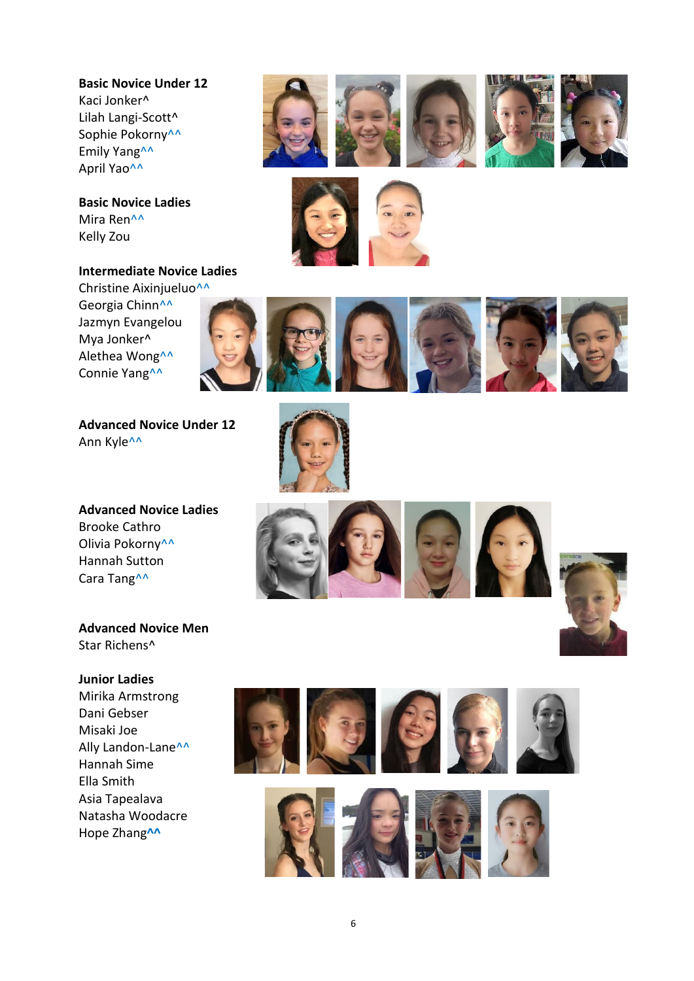**Basic Novice Under 12**  Kaci Jonker^ Lilah Langi-Scott^ Sophie Pokorny<sup>^^</sup> Emily Yang<sup>^^</sup> April Yao^^

**Basic Novice Ladies**  Mira Ren^^ Kelly Zou

# **Intermediate Novice Ladies**

Christine Aixinjueluo^^ Georgia Chinn^^ Jazmyn Evangelou Mya Jonker^ Alethea Wong^^ Connie Yang^^

**Advanced Novice Under 12**  Ann Kyle^^

**Advanced Novice Ladies**  Brooke Cathro Olivia Pokorny<sup>^^</sup> Hannah Sutton Cara Tang^^

**Advanced Novice Men** Star Richens^

#### **Junior Ladies**

Mirika Armstrong Dani Gebser Misaki Joe Ally Landon-Lane<sup>^^</sup> Hannah Sime Ella Smith Asia Tapealava Natasha Woodacre Hope Zhang**^^**



















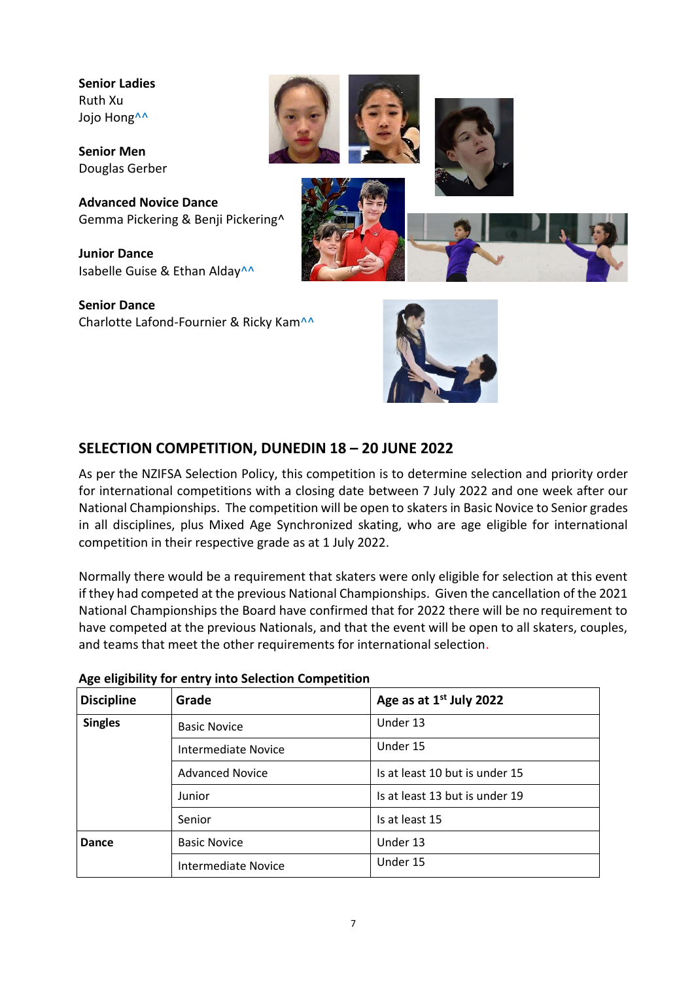**Senior Ladies** Ruth Xu Jojo Hong<sup>^^</sup>

**Senior Men** Douglas Gerber

**Advanced Novice Dance** Gemma Pickering & Benji Pickering^

**Junior Dance** Isabelle Guise & Ethan Alday<sup>^^</sup>

**Senior Dance** Charlotte Lafond-Fournier & Ricky Kam^^





# **SELECTION COMPETITION, DUNEDIN 18 – 20 JUNE 2022**

As per the NZIFSA Selection Policy, this competition is to determine selection and priority order for international competitions with a closing date between 7 July 2022 and one week after our National Championships. The competition will be open to skaters in Basic Novice to Senior grades in all disciplines, plus Mixed Age Synchronized skating, who are age eligible for international competition in their respective grade as at 1 July 2022.

Normally there would be a requirement that skaters were only eligible for selection at this event if they had competed at the previous National Championships. Given the cancellation of the 2021 National Championships the Board have confirmed that for 2022 there will be no requirement to have competed at the previous Nationals, and that the event will be open to all skaters, couples, and teams that meet the other requirements for international selection.

| <b>Discipline</b> | Grade                      | Age as at 1 <sup>st</sup> July 2022 |  |  |
|-------------------|----------------------------|-------------------------------------|--|--|
| <b>Singles</b>    | <b>Basic Novice</b>        | Under 13                            |  |  |
|                   | <b>Intermediate Novice</b> | Under 15                            |  |  |
|                   | <b>Advanced Novice</b>     | Is at least 10 but is under 15      |  |  |
|                   | Junior                     | Is at least 13 but is under 19      |  |  |
|                   | Senior                     | Is at least 15                      |  |  |
| Dance             | <b>Basic Novice</b>        | Under 13                            |  |  |
|                   | <b>Intermediate Novice</b> | Under 15                            |  |  |

## **Age eligibility for entry into Selection Competition**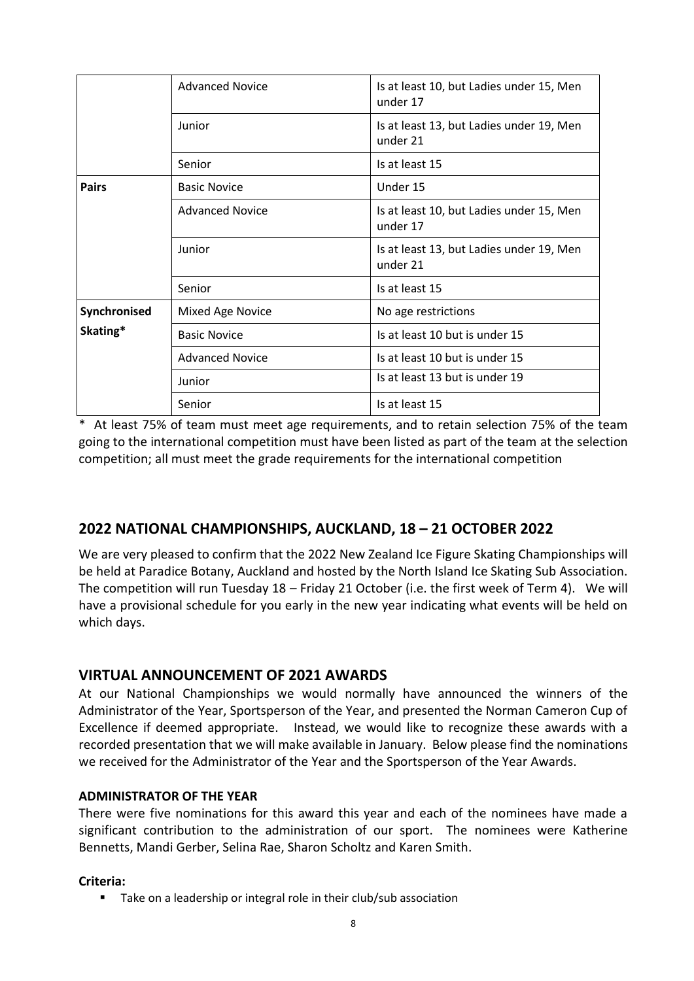|                          | <b>Advanced Novice</b> | Is at least 10, but Ladies under 15, Men<br>under 17 |  |
|--------------------------|------------------------|------------------------------------------------------|--|
|                          | Junior                 | Is at least 13, but Ladies under 19, Men<br>under 21 |  |
|                          | Senior                 | Is at least 15                                       |  |
| <b>Pairs</b>             | <b>Basic Novice</b>    | Under 15                                             |  |
|                          | <b>Advanced Novice</b> | Is at least 10, but Ladies under 15, Men<br>under 17 |  |
|                          | Junior                 | Is at least 13, but Ladies under 19, Men<br>under 21 |  |
|                          | Senior                 | Is at least 15                                       |  |
| Synchronised<br>Skating* | Mixed Age Novice       | No age restrictions                                  |  |
|                          | <b>Basic Novice</b>    | Is at least 10 but is under 15                       |  |
|                          | <b>Advanced Novice</b> | Is at least 10 but is under 15                       |  |
|                          | Junior                 | Is at least 13 but is under 19                       |  |
|                          | Senior                 | Is at least 15                                       |  |

\* At least 75% of team must meet age requirements, and to retain selection 75% of the team going to the international competition must have been listed as part of the team at the selection competition; all must meet the grade requirements for the international competition

# **2022 NATIONAL CHAMPIONSHIPS, AUCKLAND, 18 – 21 OCTOBER 2022**

We are very pleased to confirm that the 2022 New Zealand Ice Figure Skating Championships will be held at Paradice Botany, Auckland and hosted by the North Island Ice Skating Sub Association. The competition will run Tuesday 18 – Friday 21 October (i.e. the first week of Term 4). We will have a provisional schedule for you early in the new year indicating what events will be held on which days.

# **VIRTUAL ANNOUNCEMENT OF 2021 AWARDS**

At our National Championships we would normally have announced the winners of the Administrator of the Year, Sportsperson of the Year, and presented the Norman Cameron Cup of Excellence if deemed appropriate. Instead, we would like to recognize these awards with a recorded presentation that we will make available in January. Below please find the nominations we received for the Administrator of the Year and the Sportsperson of the Year Awards.

# **ADMINISTRATOR OF THE YEAR**

There were five nominations for this award this year and each of the nominees have made a significant contribution to the administration of our sport. The nominees were Katherine Bennetts, Mandi Gerber, Selina Rae, Sharon Scholtz and Karen Smith.

## **Criteria:**

■ Take on a leadership or integral role in their club/sub association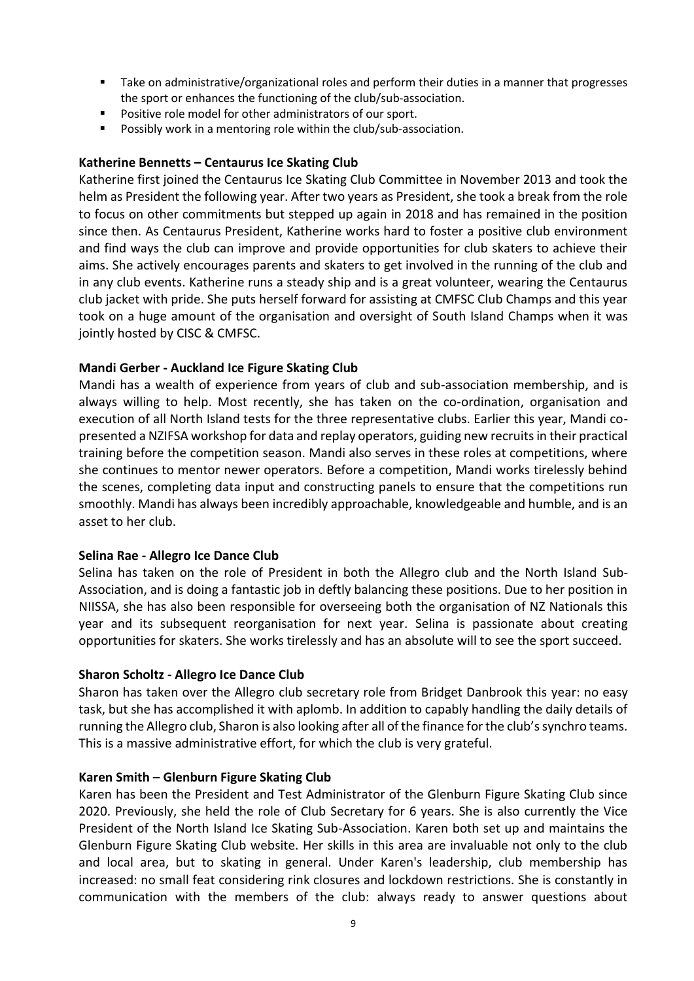- Take on administrative/organizational roles and perform their duties in a manner that progresses the sport or enhances the functioning of the club/sub-association.
- Positive role model for other administrators of our sport.
- Possibly work in a mentoring role within the club/sub-association.

#### **Katherine Bennetts – Centaurus Ice Skating Club**

Katherine first joined the Centaurus Ice Skating Club Committee in November 2013 and took the helm as President the following year. After two years as President, she took a break from the role to focus on other commitments but stepped up again in 2018 and has remained in the position since then. As Centaurus President, Katherine works hard to foster a positive club environment and find ways the club can improve and provide opportunities for club skaters to achieve their aims. She actively encourages parents and skaters to get involved in the running of the club and in any club events. Katherine runs a steady ship and is a great volunteer, wearing the Centaurus club jacket with pride. She puts herself forward for assisting at CMFSC Club Champs and this year took on a huge amount of the organisation and oversight of South Island Champs when it was jointly hosted by CISC & CMFSC.

#### **Mandi Gerber - Auckland Ice Figure Skating Club**

Mandi has a wealth of experience from years of club and sub-association membership, and is always willing to help. Most recently, she has taken on the co-ordination, organisation and execution of all North Island tests for the three representative clubs. Earlier this year, Mandi copresented a NZIFSA workshop for data and replay operators, guiding new recruits in their practical training before the competition season. Mandi also serves in these roles at competitions, where she continues to mentor newer operators. Before a competition, Mandi works tirelessly behind the scenes, completing data input and constructing panels to ensure that the competitions run smoothly. Mandi has always been incredibly approachable, knowledgeable and humble, and is an asset to her club.

#### **Selina Rae - Allegro Ice Dance Club**

Selina has taken on the role of President in both the Allegro club and the North Island Sub-Association, and is doing a fantastic job in deftly balancing these positions. Due to her position in NIISSA, she has also been responsible for overseeing both the organisation of NZ Nationals this year and its subsequent reorganisation for next year. Selina is passionate about creating opportunities for skaters. She works tirelessly and has an absolute will to see the sport succeed.

#### **Sharon Scholtz - Allegro Ice Dance Club**

Sharon has taken over the Allegro club secretary role from Bridget Danbrook this year: no easy task, but she has accomplished it with aplomb. In addition to capably handling the daily details of running the Allegro club, Sharon is also looking after all of the finance for the club's synchro teams. This is a massive administrative effort, for which the club is very grateful.

#### **Karen Smith – Glenburn Figure Skating Club**

Karen has been the President and Test Administrator of the Glenburn Figure Skating Club since 2020. Previously, she held the role of Club Secretary for 6 years. She is also currently the Vice President of the North Island Ice Skating Sub-Association. Karen both set up and maintains the Glenburn Figure Skating Club website. Her skills in this area are invaluable not only to the club and local area, but to skating in general. Under Karen's leadership, club membership has increased: no small feat considering rink closures and lockdown restrictions. She is constantly in communication with the members of the club: always ready to answer questions about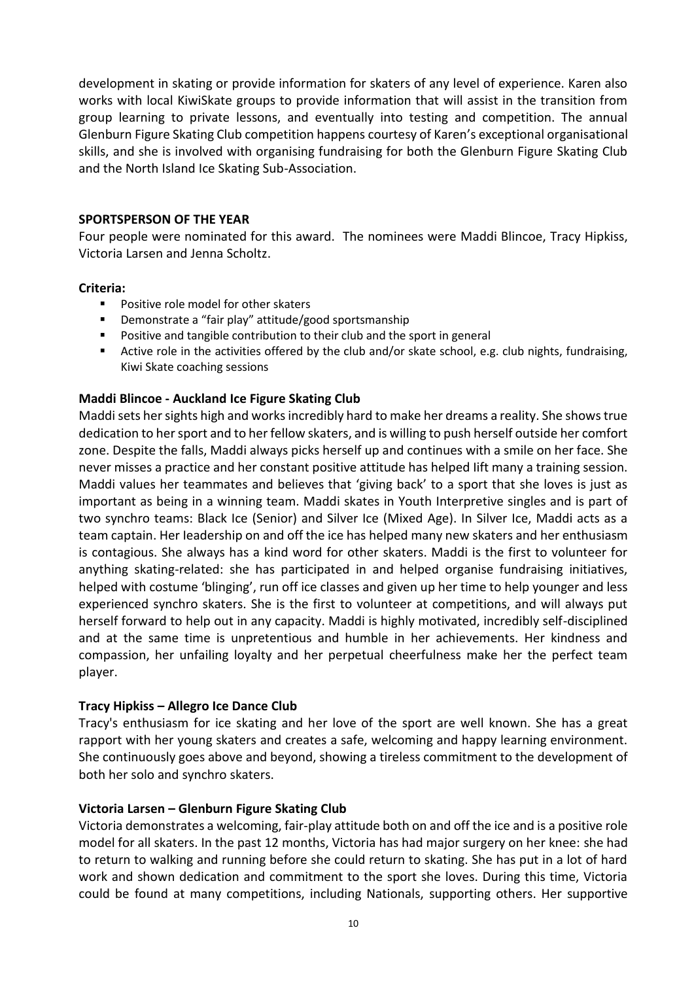development in skating or provide information for skaters of any level of experience. Karen also works with local KiwiSkate groups to provide information that will assist in the transition from group learning to private lessons, and eventually into testing and competition. The annual Glenburn Figure Skating Club competition happens courtesy of Karen's exceptional organisational skills, and she is involved with organising fundraising for both the Glenburn Figure Skating Club and the North Island Ice Skating Sub-Association.

#### **SPORTSPERSON OF THE YEAR**

Four people were nominated for this award. The nominees were Maddi Blincoe, Tracy Hipkiss, Victoria Larsen and Jenna Scholtz.

#### **Criteria:**

- Positive role model for other skaters
- Demonstrate a "fair play" attitude/good sportsmanship
- Positive and tangible contribution to their club and the sport in general
- Active role in the activities offered by the club and/or skate school, e.g. club nights, fundraising, Kiwi Skate coaching sessions

#### **Maddi Blincoe - Auckland Ice Figure Skating Club**

Maddi sets her sights high and works incredibly hard to make her dreams a reality. She shows true dedication to her sport and to her fellow skaters, and is willing to push herself outside her comfort zone. Despite the falls, Maddi always picks herself up and continues with a smile on her face. She never misses a practice and her constant positive attitude has helped Iift many a training session. Maddi values her teammates and believes that 'giving back' to a sport that she loves is just as important as being in a winning team. Maddi skates in Youth Interpretive singles and is part of two synchro teams: Black Ice (Senior) and Silver Ice (Mixed Age). In Silver Ice, Maddi acts as a team captain. Her Ieadership on and off the ice has helped many new skaters and her enthusiasm is contagious. She always has a kind word for other skaters. Maddi is the first to volunteer for anything skating-related: she has participated in and helped organise fundraising initiatives, helped with costume 'blinging', run off ice classes and given up her time to help younger and less experienced synchro skaters. She is the first to volunteer at competitions, and will always put herself forward to help out in any capacity. Maddi is highly motivated, incredibly self-disciplined and at the same time is unpretentious and humble in her achievements. Her kindness and compassion, her unfailing loyalty and her perpetual cheerfulness make her the perfect team player.

#### **Tracy Hipkiss – Allegro Ice Dance Club**

Tracy's enthusiasm for ice skating and her love of the sport are well known. She has a great rapport with her young skaters and creates a safe, welcoming and happy learning environment. She continuously goes above and beyond, showing a tireless commitment to the development of both her solo and synchro skaters.

#### **Victoria Larsen – Glenburn Figure Skating Club**

Victoria demonstrates a welcoming, fair-play attitude both on and off the ice and is a positive role model for all skaters. In the past 12 months, Victoria has had major surgery on her knee: she had to return to walking and running before she could return to skating. She has put in a lot of hard work and shown dedication and commitment to the sport she loves. During this time, Victoria could be found at many competitions, including Nationals, supporting others. Her supportive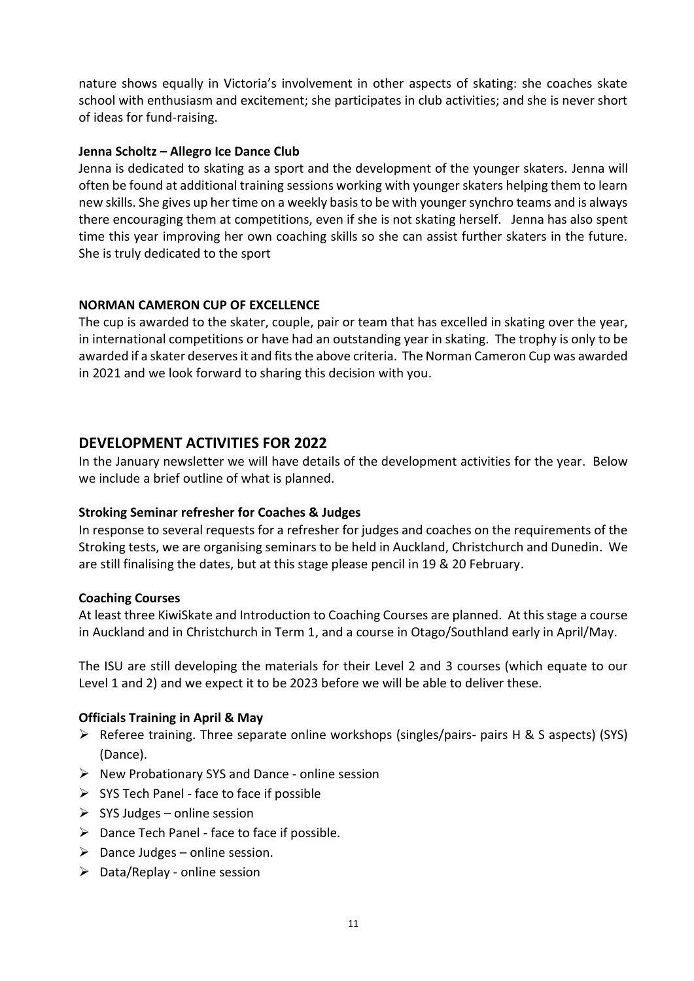nature shows equally in Victoria's involvement in other aspects of skating: she coaches skate school with enthusiasm and excitement; she participates in club activities; and she is never short of ideas for fund-raising.

#### **Jenna Scholtz – Allegro Ice Dance Club**

Jenna is dedicated to skating as a sport and the development of the younger skaters. Jenna will often be found at additional training sessions working with younger skaters helping them to learn new skills. She gives up her time on a weekly basis to be with younger synchro teams and is always there encouraging them at competitions, even if she is not skating herself. Jenna has also spent time this year improving her own coaching skills so she can assist further skaters in the future. She is truly dedicated to the sport

## **NORMAN CAMERON CUP OF EXCELLENCE**

The cup is awarded to the skater, couple, pair or team that has excelled in skating over the year, in international competitions or have had an outstanding year in skating. The trophy is only to be awarded if a skater deserves it and fits the above criteria. The Norman Cameron Cup was awarded in 2021 and we look forward to sharing this decision with you.

## **DEVELOPMENT ACTIVITIES FOR 2022**

In the January newsletter we will have details of the development activities for the year. Below we include a brief outline of what is planned.

#### **Stroking Seminar refresher for Coaches & Judges**

In response to several requests for a refresher for judges and coaches on the requirements of the Stroking tests, we are organising seminars to be held in Auckland, Christchurch and Dunedin. We are still finalising the dates, but at this stage please pencil in 19 & 20 February.

#### **Coaching Courses**

At least three KiwiSkate and Introduction to Coaching Courses are planned. At this stage a course in Auckland and in Christchurch in Term 1, and a course in Otago/Southland early in April/May.

The ISU are still developing the materials for their Level 2 and 3 courses (which equate to our Level 1 and 2) and we expect it to be 2023 before we will be able to deliver these.

#### **Officials Training in April & May**

- ➢ Referee training. Three separate online workshops (singles/pairs- pairs H & S aspects) (SYS) (Dance).
- ➢ New Probationary SYS and Dance online session
- $\triangleright$  SYS Tech Panel face to face if possible
- $\triangleright$  SYS Judges online session
- $\triangleright$  Dance Tech Panel face to face if possible.
- $\triangleright$  Dance Judges online session.
- ➢ Data/Replay online session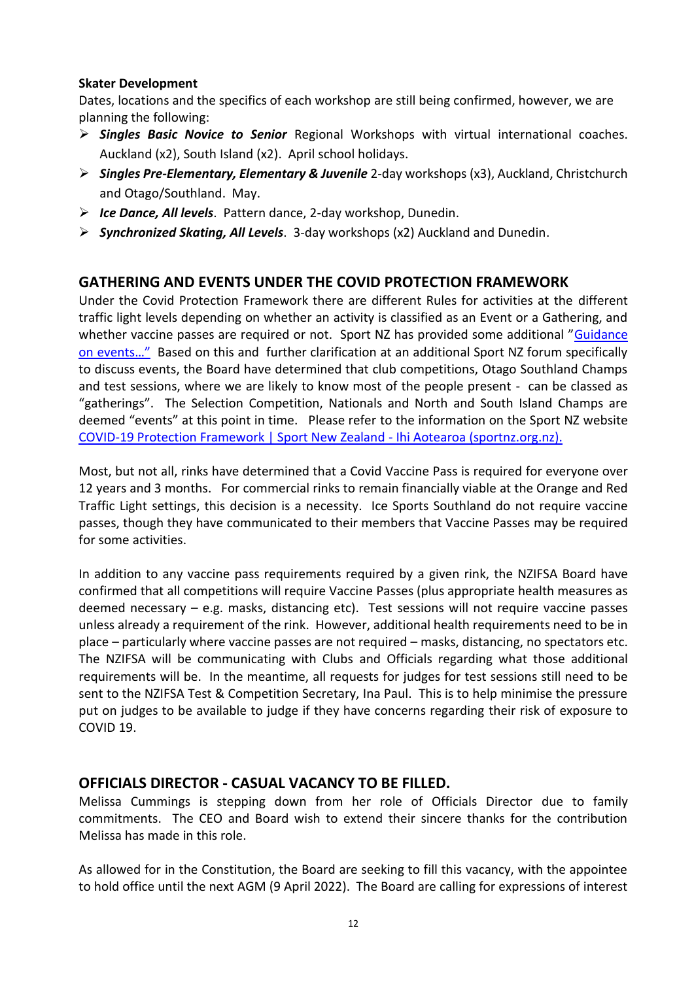## **Skater Development**

Dates, locations and the specifics of each workshop are still being confirmed, however, we are planning the following:

- ➢ *Singles Basic Novice to Senior* Regional Workshops with virtual international coaches. Auckland (x2), South Island (x2). April school holidays.
- ➢ *Singles Pre-Elementary, Elementary & Juvenile* 2-day workshops (x3), Auckland, Christchurch and Otago/Southland. May.
- ➢ *Ice Dance, All levels*. Pattern dance, 2-day workshop, Dunedin.
- ➢ *Synchronized Skating, All Levels*. 3-day workshops (x2) Auckland and Dunedin.

# **GATHERING AND EVENTS UNDER THE COVID PROTECTION FRAMEWORK**

Under the Covid Protection Framework there are different Rules for activities at the different traffic light levels depending on whether an activity is classified as an Event or a Gathering, and whether vaccine passes are required or not. Sport NZ has provided some additional "Guidance [on events…"](https://sportnz.org.nz/resources/guidance-on-events-for-sport-and-active-recreation/) Based on this and further clarification at an additional Sport NZ forum specifically to discuss events, the Board have determined that club competitions, Otago Southland Champs and test sessions, where we are likely to know most of the people present - can be classed as "gatherings". The Selection Competition, Nationals and North and South Island Champs are deemed "events" at this point in time. Please refer to the information on the Sport NZ website [COVID-19 Protection Framework | Sport New Zealand -](https://sportnz.org.nz/covid-19-response/covid-19-protection-framework/) Ihi Aotearoa (sportnz.org.nz).

Most, but not all, rinks have determined that a Covid Vaccine Pass is required for everyone over 12 years and 3 months. For commercial rinks to remain financially viable at the Orange and Red Traffic Light settings, this decision is a necessity. Ice Sports Southland do not require vaccine passes, though they have communicated to their members that Vaccine Passes may be required for some activities.

In addition to any vaccine pass requirements required by a given rink, the NZIFSA Board have confirmed that all competitions will require Vaccine Passes (plus appropriate health measures as deemed necessary – e.g. masks, distancing etc). Test sessions will not require vaccine passes unless already a requirement of the rink. However, additional health requirements need to be in place – particularly where vaccine passes are not required – masks, distancing, no spectators etc. The NZIFSA will be communicating with Clubs and Officials regarding what those additional requirements will be. In the meantime, all requests for judges for test sessions still need to be sent to the NZIFSA Test & Competition Secretary, Ina Paul. This is to help minimise the pressure put on judges to be available to judge if they have concerns regarding their risk of exposure to COVID 19.

# **OFFICIALS DIRECTOR - CASUAL VACANCY TO BE FILLED.**

Melissa Cummings is stepping down from her role of Officials Director due to family commitments. The CEO and Board wish to extend their sincere thanks for the contribution Melissa has made in this role.

As allowed for in the Constitution, the Board are seeking to fill this vacancy, with the appointee to hold office until the next AGM (9 April 2022). The Board are calling for expressions of interest